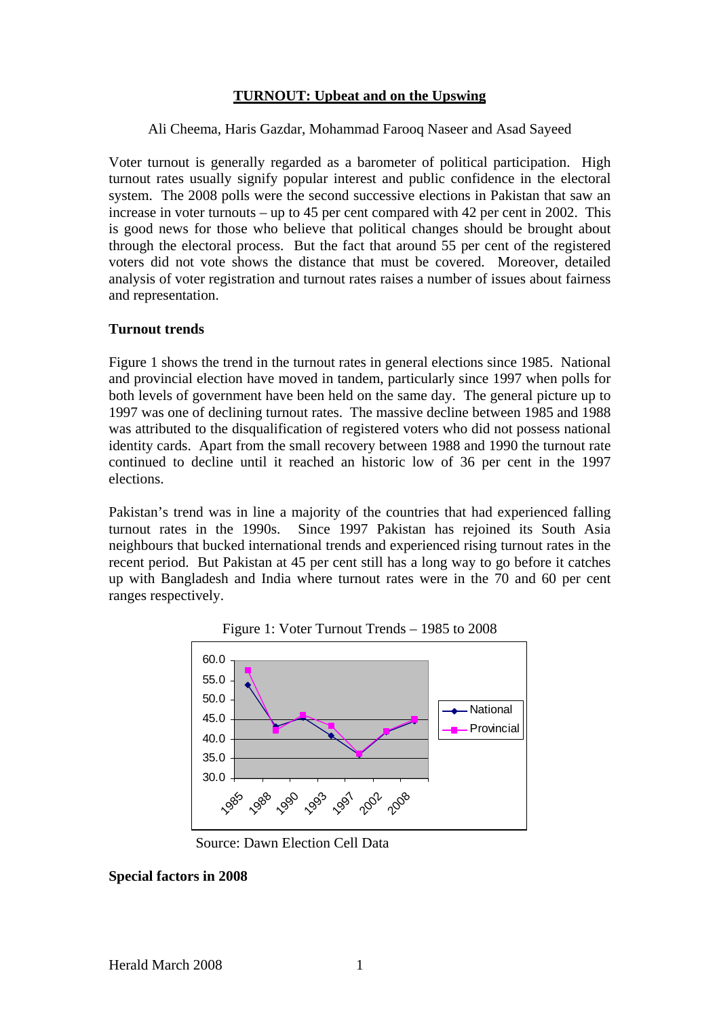## **TURNOUT: Upbeat and on the Upswing**

Ali Cheema, Haris Gazdar, Mohammad Farooq Naseer and Asad Sayeed

Voter turnout is generally regarded as a barometer of political participation. High turnout rates usually signify popular interest and public confidence in the electoral system. The 2008 polls were the second successive elections in Pakistan that saw an increase in voter turnouts – up to 45 per cent compared with 42 per cent in 2002. This is good news for those who believe that political changes should be brought about through the electoral process. But the fact that around 55 per cent of the registered voters did not vote shows the distance that must be covered. Moreover, detailed analysis of voter registration and turnout rates raises a number of issues about fairness and representation.

## **Turnout trends**

Figure 1 shows the trend in the turnout rates in general elections since 1985. National and provincial election have moved in tandem, particularly since 1997 when polls for both levels of government have been held on the same day. The general picture up to 1997 was one of declining turnout rates. The massive decline between 1985 and 1988 was attributed to the disqualification of registered voters who did not possess national identity cards. Apart from the small recovery between 1988 and 1990 the turnout rate continued to decline until it reached an historic low of 36 per cent in the 1997 elections.

Pakistan's trend was in line a majority of the countries that had experienced falling turnout rates in the 1990s. Since 1997 Pakistan has rejoined its South Asia neighbours that bucked international trends and experienced rising turnout rates in the recent period. But Pakistan at 45 per cent still has a long way to go before it catches up with Bangladesh and India where turnout rates were in the 70 and 60 per cent ranges respectively.



Figure 1: Voter Turnout Trends – 1985 to 2008

Source: Dawn Election Cell Data

## **Special factors in 2008**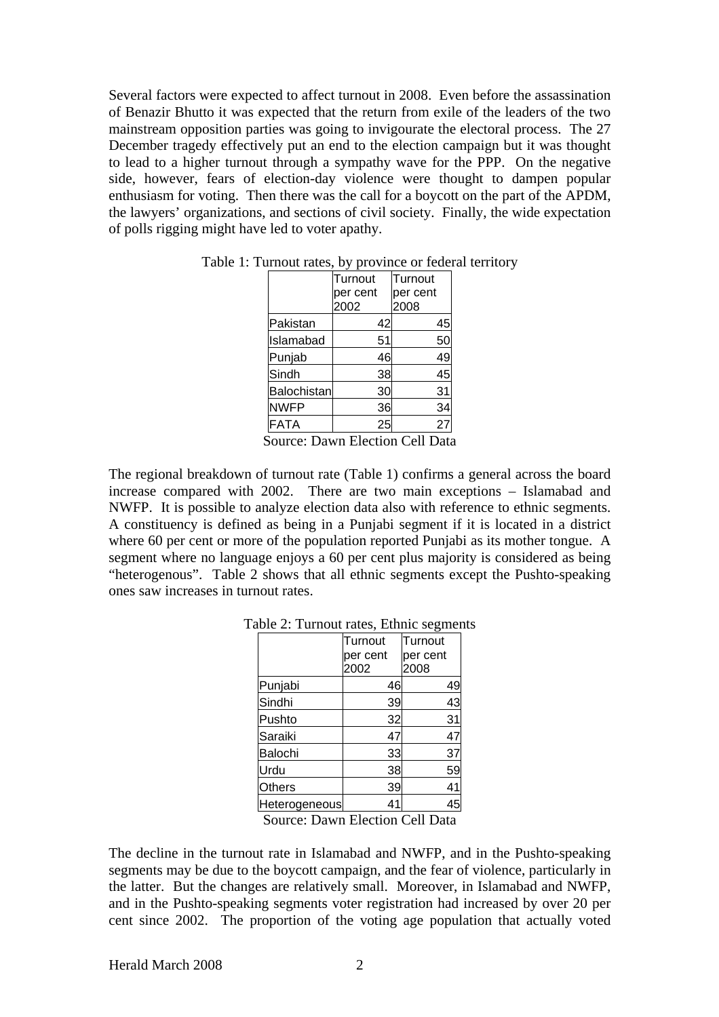Several factors were expected to affect turnout in 2008. Even before the assassination of Benazir Bhutto it was expected that the return from exile of the leaders of the two mainstream opposition parties was going to invigourate the electoral process. The 27 December tragedy effectively put an end to the election campaign but it was thought to lead to a higher turnout through a sympathy wave for the PPP. On the negative side, however, fears of election-day violence were thought to dampen popular enthusiasm for voting. Then there was the call for a boycott on the part of the APDM, the lawyers' organizations, and sections of civil society. Finally, the wide expectation of polls rigging might have led to voter apathy.

|                    | Turnout  | Turnout  |
|--------------------|----------|----------|
|                    | per cent | per cent |
|                    | 2002     | 2008     |
| Pakistan           | 42       | 45       |
| Islamabad          | 51       | 50       |
| Punjab             | 46       | 49       |
| Sindh              | 38       | 45       |
| <b>Balochistan</b> | 30       | 31       |
| <b>NWFP</b>        | 36       | 34       |
| <b>FATA</b>        | 25       |          |

Table 1: Turnout rates, by province or federal territory

Source: Dawn Election Cell Data

The regional breakdown of turnout rate (Table 1) confirms a general across the board increase compared with 2002. There are two main exceptions – Islamabad and NWFP. It is possible to analyze election data also with reference to ethnic segments. A constituency is defined as being in a Punjabi segment if it is located in a district where 60 per cent or more of the population reported Punjabi as its mother tongue. A segment where no language enjoys a 60 per cent plus majority is considered as being "heterogenous". Table 2 shows that all ethnic segments except the Pushto-speaking ones saw increases in turnout rates.

|               | Turnout  | Turnout  |  |
|---------------|----------|----------|--|
|               | per cent | per cent |  |
|               | 2002     | 2008     |  |
| Punjabi       | 46       | 49       |  |
| Sindhi        | 39       | 43       |  |
| Pushto        | 32       | 31       |  |
| Saraiki       | 47       | 47       |  |
| Balochi       | 33       | 37       |  |
| Urdu          | 38       | 59       |  |
| Others        | 39       | 41       |  |
| Heterogeneous | 41       |          |  |
|               |          |          |  |

Table 2: Turnout rates, Ethnic segments

Source: Dawn Election Cell Data

The decline in the turnout rate in Islamabad and NWFP, and in the Pushto-speaking segments may be due to the boycott campaign, and the fear of violence, particularly in the latter. But the changes are relatively small. Moreover, in Islamabad and NWFP, and in the Pushto-speaking segments voter registration had increased by over 20 per cent since 2002. The proportion of the voting age population that actually voted